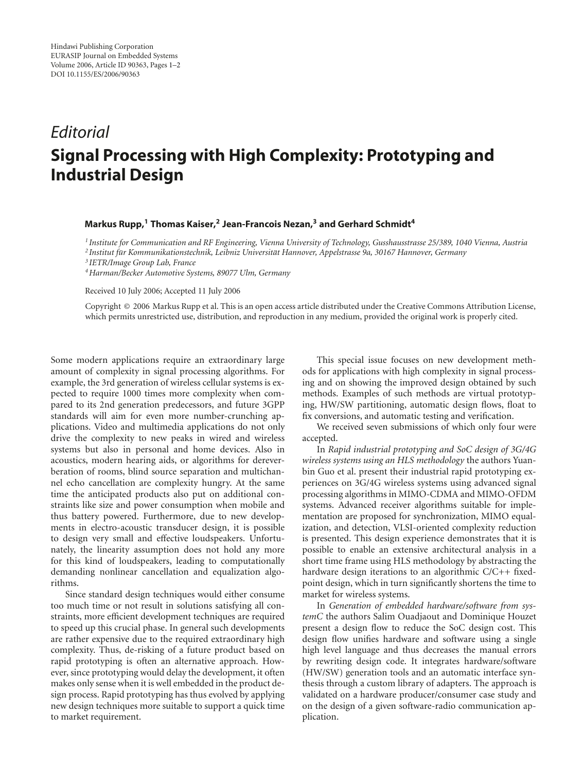## *Editorial* **Signal Processing with High Complexity: Prototyping and Industrial Design**

## **Markus Rupp,1 Thomas Kaiser,2 Jean-Francois Nezan,3 and Gerhard Schmidt4**

*<sup>1</sup> Institute for Communication and RF Engineering, Vienna University of Technology, Gusshausstrasse 25/389, 1040 Vienna, Austria <sup>2</sup> Institut fur Kommunikationstechnik, Leibniz Universit ¨ at Hannover, Appelstrasse 9a, 30167 Hannover, Germany ¨*

*<sup>3</sup> IETR/Image Group Lab, France*

*4Harman/Becker Automotive Systems, 89077 Ulm, Germany*

Received 10 July 2006; Accepted 11 July 2006

Copyright © 2006 Markus Rupp et al. This is an open access article distributed under the Creative Commons Attribution License, which permits unrestricted use, distribution, and reproduction in any medium, provided the original work is properly cited.

Some modern applications require an extraordinary large amount of complexity in signal processing algorithms. For example, the 3rd generation of wireless cellular systems is expected to require 1000 times more complexity when compared to its 2nd generation predecessors, and future 3GPP standards will aim for even more number-crunching applications. Video and multimedia applications do not only drive the complexity to new peaks in wired and wireless systems but also in personal and home devices. Also in acoustics, modern hearing aids, or algorithms for dereverberation of rooms, blind source separation and multichannel echo cancellation are complexity hungry. At the same time the anticipated products also put on additional constraints like size and power consumption when mobile and thus battery powered. Furthermore, due to new developments in electro-acoustic transducer design, it is possible to design very small and effective loudspeakers. Unfortunately, the linearity assumption does not hold any more for this kind of loudspeakers, leading to computationally demanding nonlinear cancellation and equalization algorithms.

Since standard design techniques would either consume too much time or not result in solutions satisfying all constraints, more efficient development techniques are required to speed up this crucial phase. In general such developments are rather expensive due to the required extraordinary high complexity. Thus, de-risking of a future product based on rapid prototyping is often an alternative approach. However, since prototyping would delay the development, it often makes only sense when it is well embedded in the product design process. Rapid prototyping has thus evolved by applying new design techniques more suitable to support a quick time to market requirement.

This special issue focuses on new development methods for applications with high complexity in signal processing and on showing the improved design obtained by such methods. Examples of such methods are virtual prototyping, HW/SW partitioning, automatic design flows, float to fix conversions, and automatic testing and verification.

We received seven submissions of which only four were accepted.

In *Rapid industrial prototyping and SoC design of 3G/4G wireless systems using an HLS methodology* the authors Yuanbin Guo et al. present their industrial rapid prototyping experiences on 3G/4G wireless systems using advanced signal processing algorithms in MIMO-CDMA and MIMO-OFDM systems. Advanced receiver algorithms suitable for implementation are proposed for synchronization, MIMO equalization, and detection, VLSI-oriented complexity reduction is presented. This design experience demonstrates that it is possible to enable an extensive architectural analysis in a short time frame using HLS methodology by abstracting the hardware design iterations to an algorithmic C/C++ fixedpoint design, which in turn significantly shortens the time to market for wireless systems.

In *Generation of embedded hardware/software from systemC* the authors Salim Ouadjaout and Dominique Houzet present a design flow to reduce the SoC design cost. This design flow unifies hardware and software using a single high level language and thus decreases the manual errors by rewriting design code. It integrates hardware/software (HW/SW) generation tools and an automatic interface synthesis through a custom library of adapters. The approach is validated on a hardware producer/consumer case study and on the design of a given software-radio communication application.